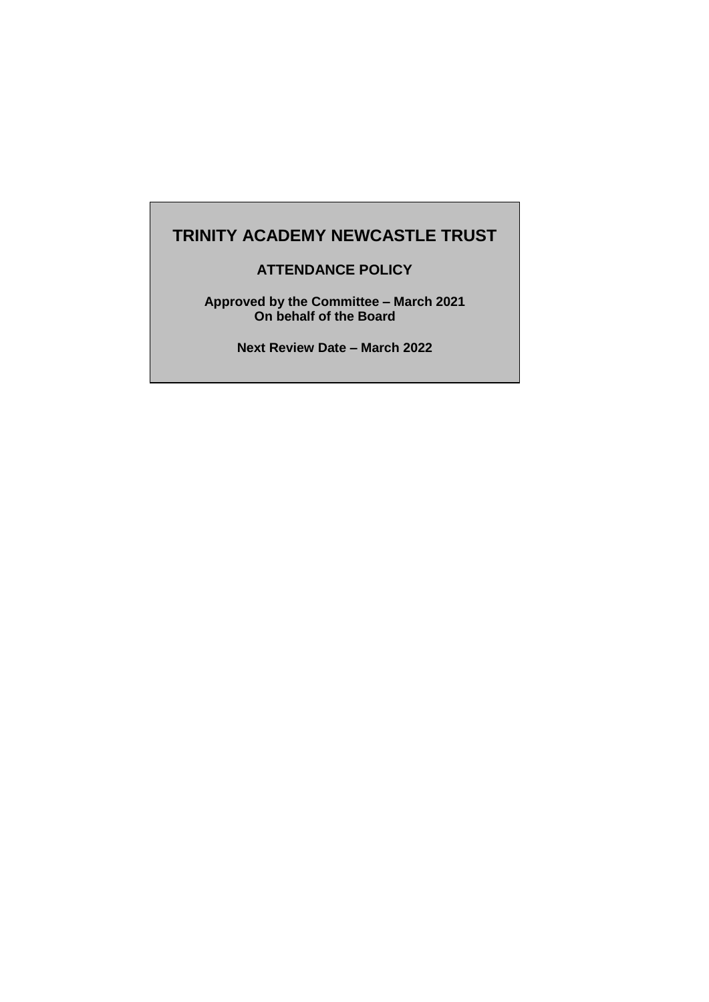# **TRINITY ACADEMY NEWCASTLE TRUST**

# **ATTENDANCE POLICY**

**Approved by the Committee – March 2021 On behalf of the Board**

**Next Review Date – March 2022**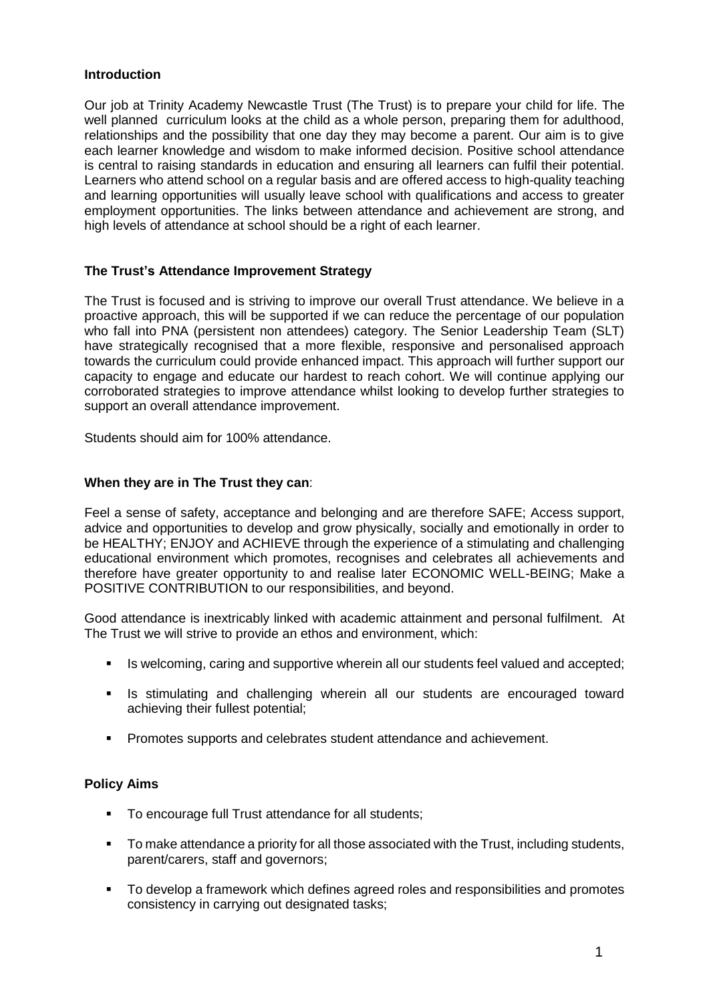## **Introduction**

Our job at Trinity Academy Newcastle Trust (The Trust) is to prepare your child for life. The well planned curriculum looks at the child as a whole person, preparing them for adulthood, relationships and the possibility that one day they may become a parent. Our aim is to give each learner knowledge and wisdom to make informed decision. Positive school attendance is central to raising standards in education and ensuring all learners can fulfil their potential. Learners who attend school on a regular basis and are offered access to high-quality teaching and learning opportunities will usually leave school with qualifications and access to greater employment opportunities. The links between attendance and achievement are strong, and high levels of attendance at school should be a right of each learner.

## **The Trust's Attendance Improvement Strategy**

The Trust is focused and is striving to improve our overall Trust attendance. We believe in a proactive approach, this will be supported if we can reduce the percentage of our population who fall into PNA (persistent non attendees) category. The Senior Leadership Team (SLT) have strategically recognised that a more flexible, responsive and personalised approach towards the curriculum could provide enhanced impact. This approach will further support our capacity to engage and educate our hardest to reach cohort. We will continue applying our corroborated strategies to improve attendance whilst looking to develop further strategies to support an overall attendance improvement.

Students should aim for 100% attendance.

## **When they are in The Trust they can**:

Feel a sense of safety, acceptance and belonging and are therefore SAFE; Access support, advice and opportunities to develop and grow physically, socially and emotionally in order to be HEALTHY; ENJOY and ACHIEVE through the experience of a stimulating and challenging educational environment which promotes, recognises and celebrates all achievements and therefore have greater opportunity to and realise later ECONOMIC WELL-BEING; Make a POSITIVE CONTRIBUTION to our responsibilities, and beyond.

Good attendance is inextricably linked with academic attainment and personal fulfilment. At The Trust we will strive to provide an ethos and environment, which:

- Is welcoming, caring and supportive wherein all our students feel valued and accepted;
- **In Set is stimulating and challenging wherein all our students are encouraged toward** achieving their fullest potential;
- **Promotes supports and celebrates student attendance and achievement.**

## **Policy Aims**

- To encourage full Trust attendance for all students;
- To make attendance a priority for all those associated with the Trust, including students, parent/carers, staff and governors;
- To develop a framework which defines agreed roles and responsibilities and promotes consistency in carrying out designated tasks;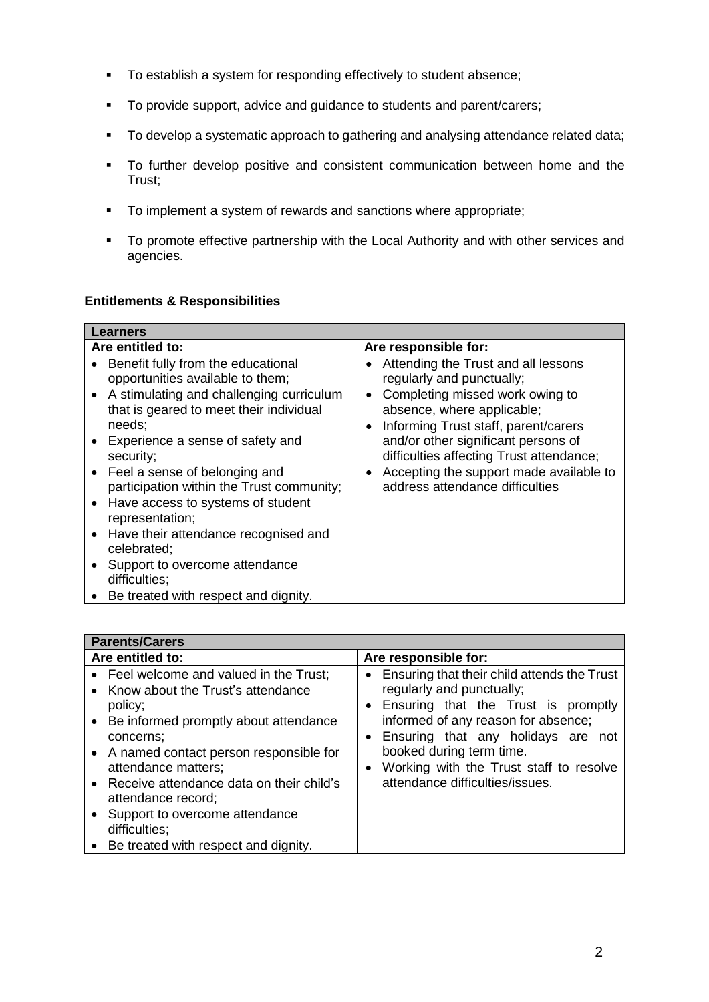- To establish a system for responding effectively to student absence;
- To provide support, advice and guidance to students and parent/carers;
- **To develop a systematic approach to gathering and analysing attendance related data;**
- To further develop positive and consistent communication between home and the Trust;
- To implement a system of rewards and sanctions where appropriate;
- To promote effective partnership with the Local Authority and with other services and agencies.

## **Entitlements & Responsibilities**

| Learners                                                                                                                                                                                                                                                                                                                                      |                                                                                                                                                                                                                                                                                                                                                                                        |
|-----------------------------------------------------------------------------------------------------------------------------------------------------------------------------------------------------------------------------------------------------------------------------------------------------------------------------------------------|----------------------------------------------------------------------------------------------------------------------------------------------------------------------------------------------------------------------------------------------------------------------------------------------------------------------------------------------------------------------------------------|
| Are entitled to:                                                                                                                                                                                                                                                                                                                              | Are responsible for:                                                                                                                                                                                                                                                                                                                                                                   |
| Benefit fully from the educational<br>$\bullet$<br>opportunities available to them;<br>A stimulating and challenging curriculum<br>$\bullet$<br>that is geared to meet their individual<br>needs;<br>Experience a sense of safety and<br>security;<br>Feel a sense of belonging and<br>$\bullet$<br>participation within the Trust community; | Attending the Trust and all lessons<br>٠<br>regularly and punctually;<br>Completing missed work owing to<br>$\bullet$<br>absence, where applicable;<br>Informing Trust staff, parent/carers<br>$\bullet$<br>and/or other significant persons of<br>difficulties affecting Trust attendance;<br>Accepting the support made available to<br>$\bullet$<br>address attendance difficulties |
| Have access to systems of student<br>$\bullet$<br>representation;                                                                                                                                                                                                                                                                             |                                                                                                                                                                                                                                                                                                                                                                                        |
| Have their attendance recognised and<br>$\bullet$<br>celebrated;                                                                                                                                                                                                                                                                              |                                                                                                                                                                                                                                                                                                                                                                                        |
| Support to overcome attendance<br>difficulties;                                                                                                                                                                                                                                                                                               |                                                                                                                                                                                                                                                                                                                                                                                        |
| Be treated with respect and dignity.<br>$\bullet$                                                                                                                                                                                                                                                                                             |                                                                                                                                                                                                                                                                                                                                                                                        |

| <b>Parents/Carers</b>                                                                                                                                                                                                                                                                                                                                                             |                                                                                                                                                                                                                                                                                                              |
|-----------------------------------------------------------------------------------------------------------------------------------------------------------------------------------------------------------------------------------------------------------------------------------------------------------------------------------------------------------------------------------|--------------------------------------------------------------------------------------------------------------------------------------------------------------------------------------------------------------------------------------------------------------------------------------------------------------|
| Are entitled to:                                                                                                                                                                                                                                                                                                                                                                  | Are responsible for:                                                                                                                                                                                                                                                                                         |
| • Feel welcome and valued in the Trust;<br>Know about the Trust's attendance<br>policy;<br>• Be informed promptly about attendance<br>concerns:<br>• A named contact person responsible for<br>attendance matters;<br>• Receive attendance data on their child's<br>attendance record;<br>Support to overcome attendance<br>difficulties;<br>Be treated with respect and dignity. | • Ensuring that their child attends the Trust<br>regularly and punctually;<br>• Ensuring that the Trust is promptly<br>informed of any reason for absence;<br>• Ensuring that any holidays are not<br>booked during term time.<br>Working with the Trust staff to resolve<br>attendance difficulties/issues. |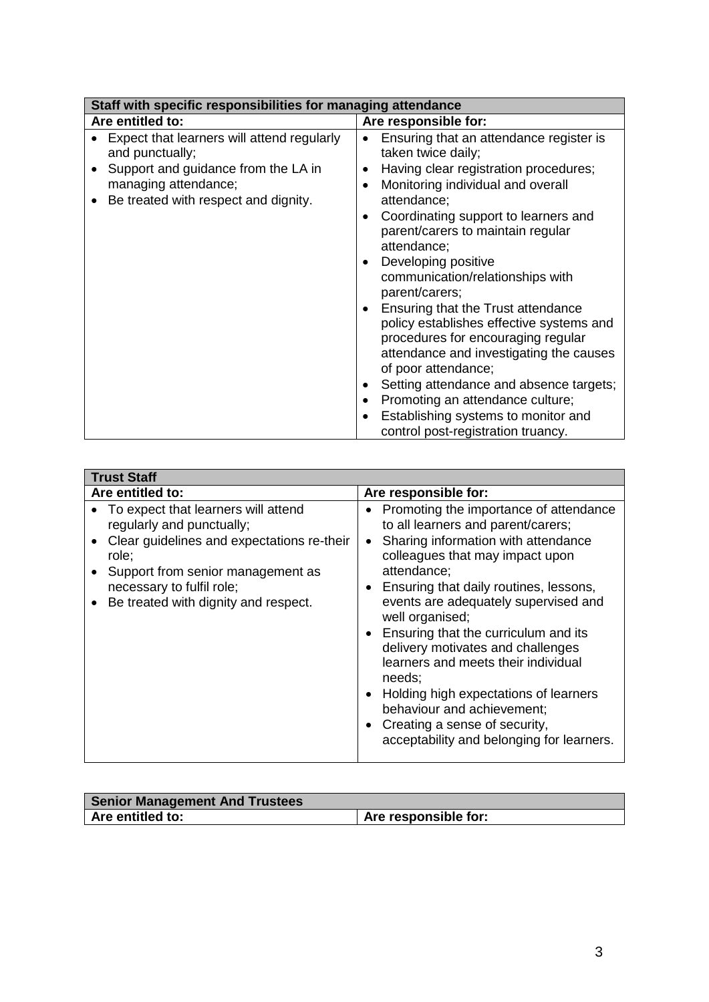| Staff with specific responsibilities for managing attendance                                         |                                                                                                                                                                                                                       |  |
|------------------------------------------------------------------------------------------------------|-----------------------------------------------------------------------------------------------------------------------------------------------------------------------------------------------------------------------|--|
| Are entitled to:                                                                                     | Are responsible for:                                                                                                                                                                                                  |  |
| Expect that learners will attend regularly<br>and punctually;<br>Support and guidance from the LA in | Ensuring that an attendance register is<br>taken twice daily;<br>Having clear registration procedures;                                                                                                                |  |
| managing attendance;<br>Be treated with respect and dignity.<br>$\bullet$                            | Monitoring individual and overall<br>attendance;                                                                                                                                                                      |  |
|                                                                                                      | Coordinating support to learners and<br>parent/carers to maintain regular<br>attendance;<br>Developing positive<br>communication/relationships with                                                                   |  |
|                                                                                                      | parent/carers;<br>Ensuring that the Trust attendance<br>$\bullet$<br>policy establishes effective systems and<br>procedures for encouraging regular<br>attendance and investigating the causes<br>of poor attendance; |  |
|                                                                                                      | Setting attendance and absence targets;<br>Promoting an attendance culture;<br>Establishing systems to monitor and<br>control post-registration truancy.                                                              |  |

| <b>Trust Staff</b>                                                                                                                                                                                                                |                                                                                                                                                                                                                                                                                                                                                                                                                                                                                                                                                                            |
|-----------------------------------------------------------------------------------------------------------------------------------------------------------------------------------------------------------------------------------|----------------------------------------------------------------------------------------------------------------------------------------------------------------------------------------------------------------------------------------------------------------------------------------------------------------------------------------------------------------------------------------------------------------------------------------------------------------------------------------------------------------------------------------------------------------------------|
| Are entitled to:                                                                                                                                                                                                                  | Are responsible for:                                                                                                                                                                                                                                                                                                                                                                                                                                                                                                                                                       |
| To expect that learners will attend<br>regularly and punctually;<br>Clear guidelines and expectations re-their<br>role;<br>Support from senior management as<br>necessary to fulfil role;<br>Be treated with dignity and respect. | Promoting the importance of attendance<br>to all learners and parent/carers;<br>Sharing information with attendance<br>colleagues that may impact upon<br>attendance;<br>Ensuring that daily routines, lessons,<br>events are adequately supervised and<br>well organised;<br>Ensuring that the curriculum and its<br>delivery motivates and challenges<br>learners and meets their individual<br>needs;<br>Holding high expectations of learners<br>$\bullet$<br>behaviour and achievement;<br>Creating a sense of security,<br>acceptability and belonging for learners. |

| <b>Senior Management And Trustees</b> |                      |
|---------------------------------------|----------------------|
| Are entitled to:                      | Are responsible for: |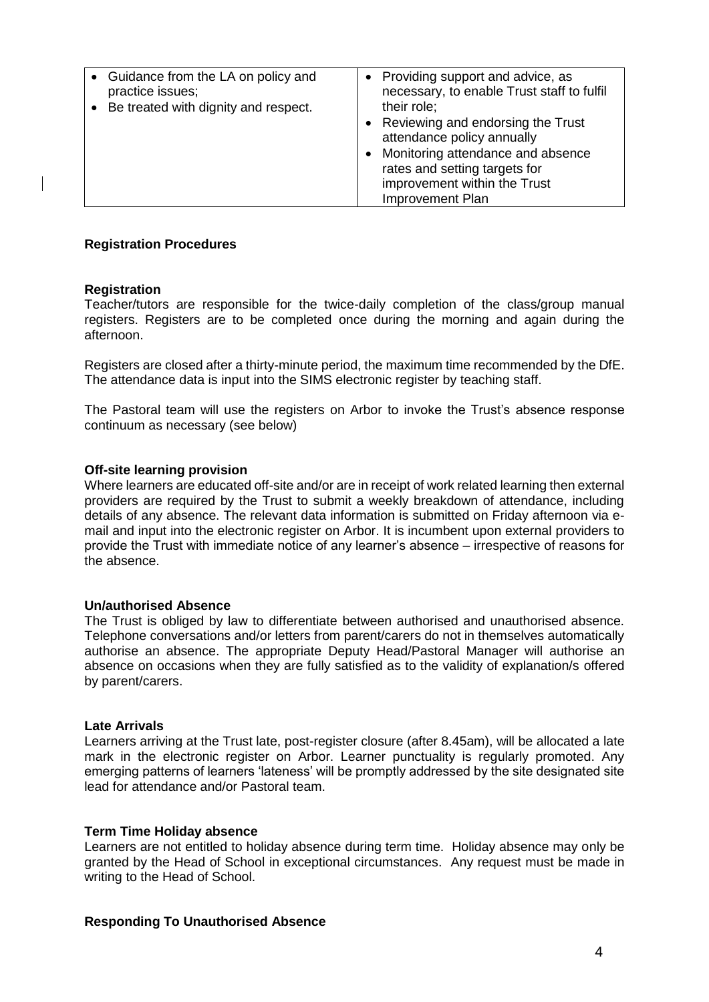| • Guidance from the LA on policy and | • Providing support and advice, as                                                                                                                                                                 |
|--------------------------------------|----------------------------------------------------------------------------------------------------------------------------------------------------------------------------------------------------|
| practice issues;                     | necessary, to enable Trust staff to fulfil                                                                                                                                                         |
| Be treated with dignity and respect. | their role;                                                                                                                                                                                        |
|                                      | Reviewing and endorsing the Trust<br>attendance policy annually<br>• Monitoring attendance and absence<br>rates and setting targets for<br>improvement within the Trust<br><b>Improvement Plan</b> |

## **Registration Procedures**

#### **Registration**

Teacher/tutors are responsible for the twice-daily completion of the class/group manual registers. Registers are to be completed once during the morning and again during the afternoon.

Registers are closed after a thirty-minute period, the maximum time recommended by the DfE. The attendance data is input into the SIMS electronic register by teaching staff.

The Pastoral team will use the registers on Arbor to invoke the Trust's absence response continuum as necessary (see below)

#### **Off-site learning provision**

Where learners are educated off-site and/or are in receipt of work related learning then external providers are required by the Trust to submit a weekly breakdown of attendance, including details of any absence. The relevant data information is submitted on Friday afternoon via email and input into the electronic register on Arbor. It is incumbent upon external providers to provide the Trust with immediate notice of any learner's absence – irrespective of reasons for the absence.

#### **Un/authorised Absence**

The Trust is obliged by law to differentiate between authorised and unauthorised absence. Telephone conversations and/or letters from parent/carers do not in themselves automatically authorise an absence. The appropriate Deputy Head/Pastoral Manager will authorise an absence on occasions when they are fully satisfied as to the validity of explanation/s offered by parent/carers.

#### **Late Arrivals**

Learners arriving at the Trust late, post-register closure (after 8.45am), will be allocated a late mark in the electronic register on Arbor. Learner punctuality is regularly promoted. Any emerging patterns of learners 'lateness' will be promptly addressed by the site designated site lead for attendance and/or Pastoral team.

#### **Term Time Holiday absence**

Learners are not entitled to holiday absence during term time. Holiday absence may only be granted by the Head of School in exceptional circumstances. Any request must be made in writing to the Head of School.

## **Responding To Unauthorised Absence**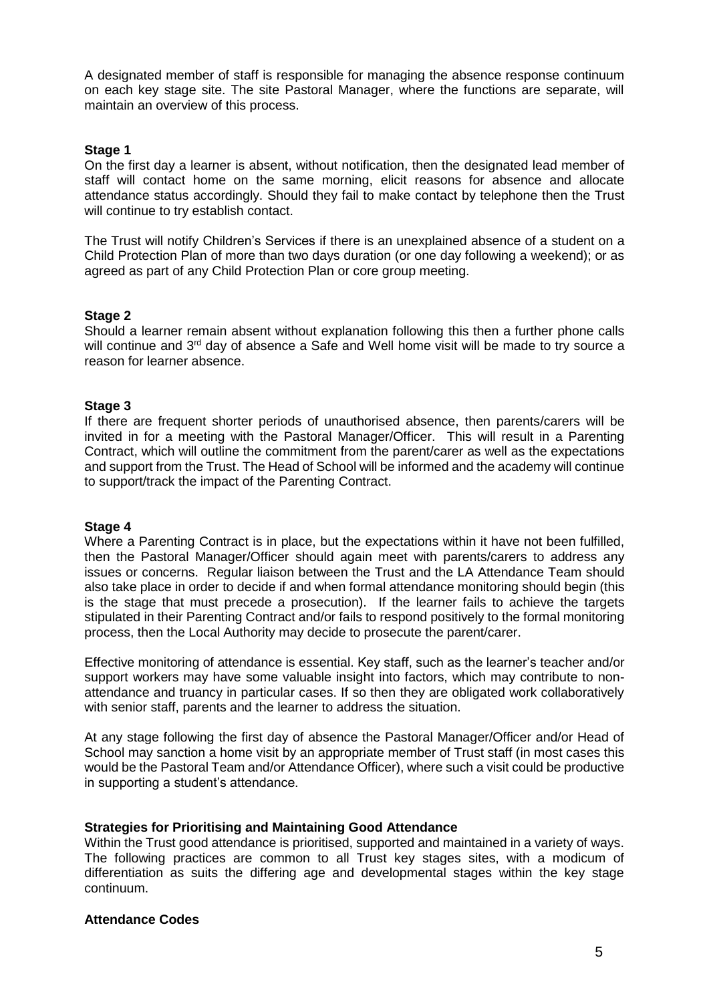A designated member of staff is responsible for managing the absence response continuum on each key stage site. The site Pastoral Manager, where the functions are separate, will maintain an overview of this process.

### **Stage 1**

On the first day a learner is absent, without notification, then the designated lead member of staff will contact home on the same morning, elicit reasons for absence and allocate attendance status accordingly. Should they fail to make contact by telephone then the Trust will continue to try establish contact.

The Trust will notify Children's Services if there is an unexplained absence of a student on a Child Protection Plan of more than two days duration (or one day following a weekend); or as agreed as part of any Child Protection Plan or core group meeting.

#### **Stage 2**

Should a learner remain absent without explanation following this then a further phone calls will continue and 3<sup>rd</sup> day of absence a Safe and Well home visit will be made to try source a reason for learner absence.

#### **Stage 3**

If there are frequent shorter periods of unauthorised absence, then parents/carers will be invited in for a meeting with the Pastoral Manager/Officer. This will result in a Parenting Contract, which will outline the commitment from the parent/carer as well as the expectations and support from the Trust. The Head of School will be informed and the academy will continue to support/track the impact of the Parenting Contract.

#### **Stage 4**

Where a Parenting Contract is in place, but the expectations within it have not been fulfilled, then the Pastoral Manager/Officer should again meet with parents/carers to address any issues or concerns. Regular liaison between the Trust and the LA Attendance Team should also take place in order to decide if and when formal attendance monitoring should begin (this is the stage that must precede a prosecution). If the learner fails to achieve the targets stipulated in their Parenting Contract and/or fails to respond positively to the formal monitoring process, then the Local Authority may decide to prosecute the parent/carer.

Effective monitoring of attendance is essential. Key staff, such as the learner's teacher and/or support workers may have some valuable insight into factors, which may contribute to nonattendance and truancy in particular cases. If so then they are obligated work collaboratively with senior staff, parents and the learner to address the situation.

At any stage following the first day of absence the Pastoral Manager/Officer and/or Head of School may sanction a home visit by an appropriate member of Trust staff (in most cases this would be the Pastoral Team and/or Attendance Officer), where such a visit could be productive in supporting a student's attendance.

#### **Strategies for Prioritising and Maintaining Good Attendance**

Within the Trust good attendance is prioritised, supported and maintained in a variety of ways. The following practices are common to all Trust key stages sites, with a modicum of differentiation as suits the differing age and developmental stages within the key stage continuum.

### **Attendance Codes**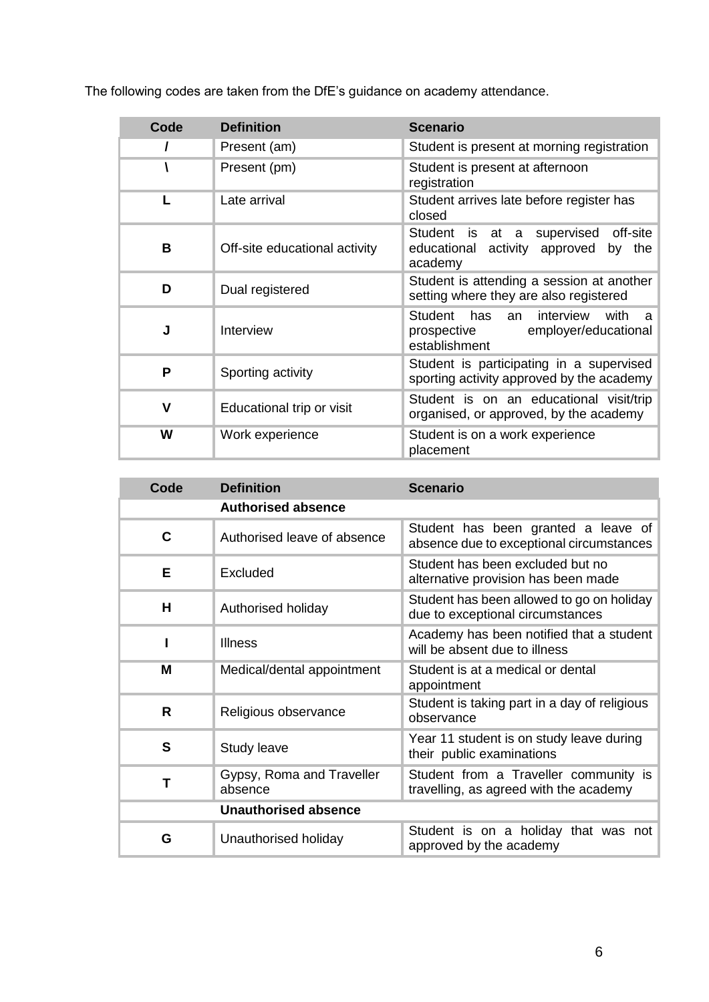The following codes are taken from the DfE's guidance on academy attendance.

| Code | <b>Definition</b>             | <b>Scenario</b>                                                                                                   |  |
|------|-------------------------------|-------------------------------------------------------------------------------------------------------------------|--|
|      | Present (am)                  | Student is present at morning registration                                                                        |  |
|      | Present (pm)                  | Student is present at afternoon<br>registration                                                                   |  |
| L    | Late arrival                  | Student arrives late before register has<br>closed                                                                |  |
| В    | Off-site educational activity | <b>Student</b><br>off-site<br>supervised<br>is at<br>a a<br>educational activity approved<br>the<br>by<br>academy |  |
| D    | Dual registered               | Student is attending a session at another<br>setting where they are also registered                               |  |
| J    | Interview                     | Student<br>has<br>interview<br>with<br>an<br>a<br>employer/educational<br>prospective<br>establishment            |  |
| P    | Sporting activity             | Student is participating in a supervised<br>sporting activity approved by the academy                             |  |
| v    | Educational trip or visit     | Student is on an educational visit/trip<br>organised, or approved, by the academy                                 |  |
| W    | Work experience               | Student is on a work experience<br>placement                                                                      |  |

| Code                        | <b>Definition</b>                    | <b>Scenario</b>                                                                 |  |
|-----------------------------|--------------------------------------|---------------------------------------------------------------------------------|--|
|                             | <b>Authorised absence</b>            |                                                                                 |  |
| C                           | Authorised leave of absence          | Student has been granted a leave of<br>absence due to exceptional circumstances |  |
| Е                           | Excluded                             | Student has been excluded but no<br>alternative provision has been made         |  |
| H                           | Authorised holiday                   | Student has been allowed to go on holiday<br>due to exceptional circumstances   |  |
|                             | <b>Illness</b>                       | Academy has been notified that a student<br>will be absent due to illness       |  |
| М                           | Medical/dental appointment           | Student is at a medical or dental<br>appointment                                |  |
| R                           | Religious observance                 | Student is taking part in a day of religious<br>observance                      |  |
| S                           | Study leave                          | Year 11 student is on study leave during<br>their public examinations           |  |
| т                           | Gypsy, Roma and Traveller<br>absence | Student from a Traveller community is<br>travelling, as agreed with the academy |  |
| <b>Unauthorised absence</b> |                                      |                                                                                 |  |
| G                           | Unauthorised holiday                 | Student is on a holiday that was not<br>approved by the academy                 |  |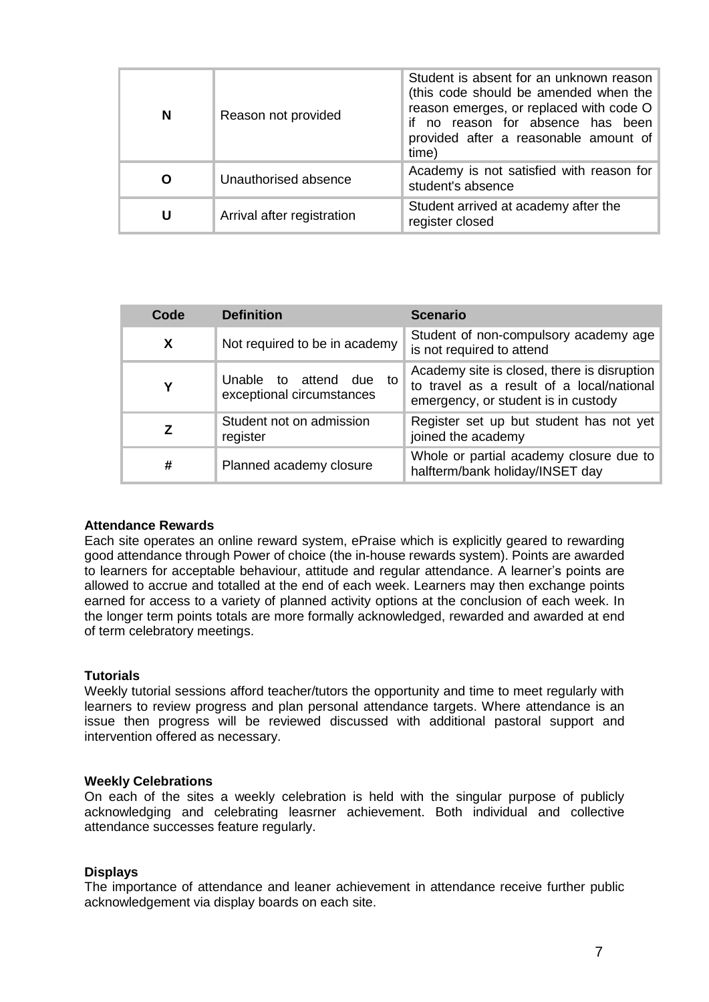| N | Reason not provided        | Student is absent for an unknown reason<br>(this code should be amended when the<br>reason emerges, or replaced with code O<br>if no reason for absence has been<br>provided after a reasonable amount of<br>time) |  |
|---|----------------------------|--------------------------------------------------------------------------------------------------------------------------------------------------------------------------------------------------------------------|--|
| O | Unauthorised absence       | Academy is not satisfied with reason for<br>student's absence                                                                                                                                                      |  |
| U | Arrival after registration | Student arrived at academy after the<br>register closed                                                                                                                                                            |  |

| Code | <b>Definition</b>                                    | <b>Scenario</b>                                                                                                                 |
|------|------------------------------------------------------|---------------------------------------------------------------------------------------------------------------------------------|
| X    | Not required to be in academy                        | Student of non-compulsory academy age<br>is not required to attend                                                              |
| Υ    | Unable to attend due to<br>exceptional circumstances | Academy site is closed, there is disruption<br>to travel as a result of a local/national<br>emergency, or student is in custody |
|      | Student not on admission<br>register                 | Register set up but student has not yet<br>joined the academy                                                                   |
| #    | Planned academy closure                              | Whole or partial academy closure due to<br>halfterm/bank holiday/INSET day                                                      |

#### **Attendance Rewards**

Each site operates an online reward system, ePraise which is explicitly geared to rewarding good attendance through Power of choice (the in-house rewards system). Points are awarded to learners for acceptable behaviour, attitude and regular attendance. A learner's points are allowed to accrue and totalled at the end of each week. Learners may then exchange points earned for access to a variety of planned activity options at the conclusion of each week. In the longer term points totals are more formally acknowledged, rewarded and awarded at end of term celebratory meetings.

#### **Tutorials**

Weekly tutorial sessions afford teacher/tutors the opportunity and time to meet regularly with learners to review progress and plan personal attendance targets. Where attendance is an issue then progress will be reviewed discussed with additional pastoral support and intervention offered as necessary.

#### **Weekly Celebrations**

On each of the sites a weekly celebration is held with the singular purpose of publicly acknowledging and celebrating leasrner achievement. Both individual and collective attendance successes feature regularly.

#### **Displays**

The importance of attendance and leaner achievement in attendance receive further public acknowledgement via display boards on each site.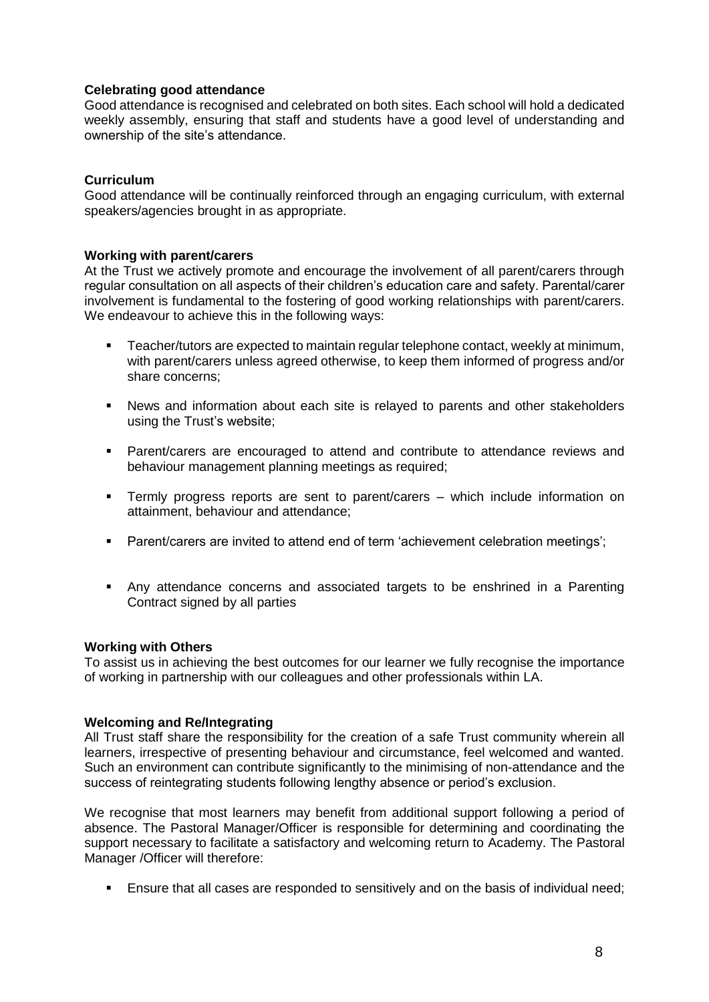## **Celebrating good attendance**

Good attendance is recognised and celebrated on both sites. Each school will hold a dedicated weekly assembly, ensuring that staff and students have a good level of understanding and ownership of the site's attendance.

## **Curriculum**

Good attendance will be continually reinforced through an engaging curriculum, with external speakers/agencies brought in as appropriate.

#### **Working with parent/carers**

At the Trust we actively promote and encourage the involvement of all parent/carers through regular consultation on all aspects of their children's education care and safety. Parental/carer involvement is fundamental to the fostering of good working relationships with parent/carers. We endeavour to achieve this in the following ways:

- **Teacher/tutors are expected to maintain regular telephone contact, weekly at minimum,** with parent/carers unless agreed otherwise, to keep them informed of progress and/or share concerns;
- News and information about each site is relayed to parents and other stakeholders using the Trust's website;
- Parent/carers are encouraged to attend and contribute to attendance reviews and behaviour management planning meetings as required;
- Termly progress reports are sent to parent/carers which include information on attainment, behaviour and attendance;
- Parent/carers are invited to attend end of term 'achievement celebration meetings';
- Any attendance concerns and associated targets to be enshrined in a Parenting Contract signed by all parties

#### **Working with Others**

To assist us in achieving the best outcomes for our learner we fully recognise the importance of working in partnership with our colleagues and other professionals within LA.

#### **Welcoming and Re/Integrating**

All Trust staff share the responsibility for the creation of a safe Trust community wherein all learners, irrespective of presenting behaviour and circumstance, feel welcomed and wanted. Such an environment can contribute significantly to the minimising of non-attendance and the success of reintegrating students following lengthy absence or period's exclusion.

We recognise that most learners may benefit from additional support following a period of absence. The Pastoral Manager/Officer is responsible for determining and coordinating the support necessary to facilitate a satisfactory and welcoming return to Academy. The Pastoral Manager /Officer will therefore:

Ensure that all cases are responded to sensitively and on the basis of individual need;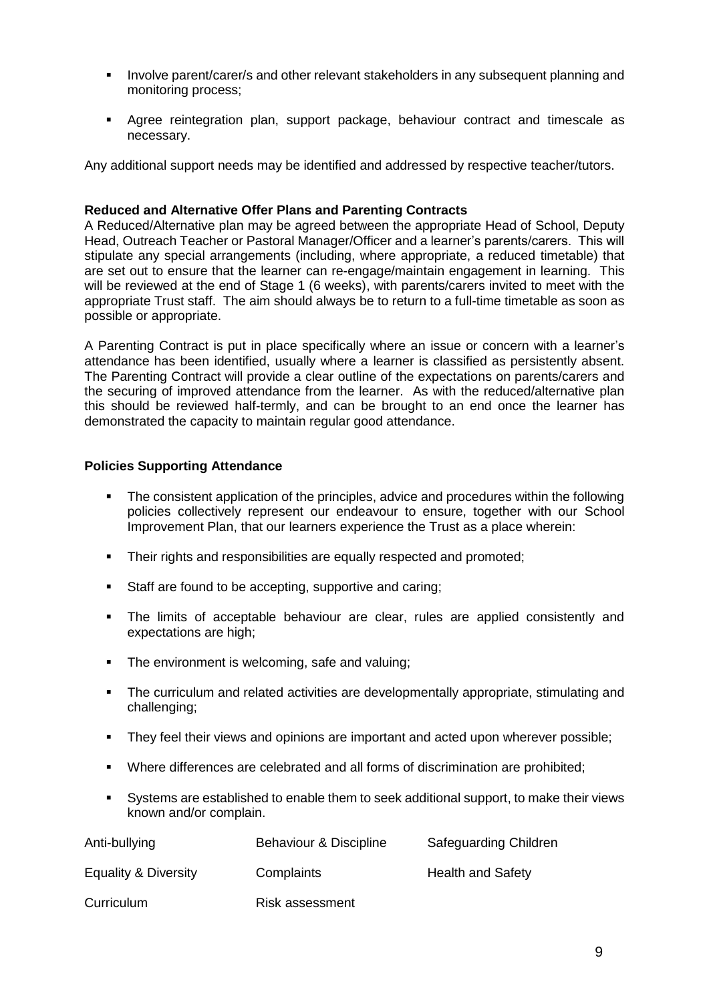- **IDED FOR A THE INVOLVE PARATE IN STARK IN A THE VALUATE IN A THE INVOLVE A THE INCORDED FORM** The Univolvent planning and monitoring process;
- Agree reintegration plan, support package, behaviour contract and timescale as necessary.

Any additional support needs may be identified and addressed by respective teacher/tutors.

## **Reduced and Alternative Offer Plans and Parenting Contracts**

A Reduced/Alternative plan may be agreed between the appropriate Head of School, Deputy Head, Outreach Teacher or Pastoral Manager/Officer and a learner's parents/carers. This will stipulate any special arrangements (including, where appropriate, a reduced timetable) that are set out to ensure that the learner can re-engage/maintain engagement in learning. This will be reviewed at the end of Stage 1 (6 weeks), with parents/carers invited to meet with the appropriate Trust staff. The aim should always be to return to a full-time timetable as soon as possible or appropriate.

A Parenting Contract is put in place specifically where an issue or concern with a learner's attendance has been identified, usually where a learner is classified as persistently absent. The Parenting Contract will provide a clear outline of the expectations on parents/carers and the securing of improved attendance from the learner. As with the reduced/alternative plan this should be reviewed half-termly, and can be brought to an end once the learner has demonstrated the capacity to maintain regular good attendance.

## **Policies Supporting Attendance**

- The consistent application of the principles, advice and procedures within the following policies collectively represent our endeavour to ensure, together with our School Improvement Plan, that our learners experience the Trust as a place wherein:
- Their rights and responsibilities are equally respected and promoted:
- Staff are found to be accepting, supportive and caring;
- The limits of acceptable behaviour are clear, rules are applied consistently and expectations are high;
- The environment is welcoming, safe and valuing:
- The curriculum and related activities are developmentally appropriate, stimulating and challenging;
- They feel their views and opinions are important and acted upon wherever possible;
- Where differences are celebrated and all forms of discrimination are prohibited;
- Systems are established to enable them to seek additional support, to make their views known and/or complain.

| Anti-bullying        | Behaviour & Discipline | Safeguarding Children    |
|----------------------|------------------------|--------------------------|
| Equality & Diversity | Complaints             | <b>Health and Safety</b> |
| Curriculum           | Risk assessment        |                          |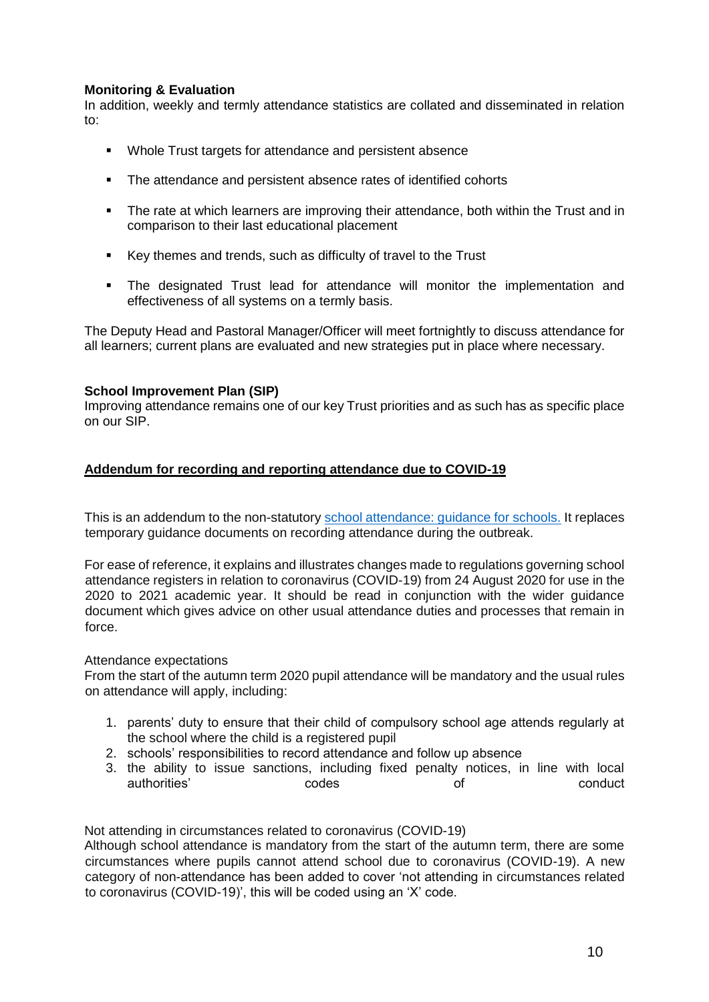## **Monitoring & Evaluation**

In addition, weekly and termly attendance statistics are collated and disseminated in relation to:

- Whole Trust targets for attendance and persistent absence
- The attendance and persistent absence rates of identified cohorts
- The rate at which learners are improving their attendance, both within the Trust and in comparison to their last educational placement
- Key themes and trends, such as difficulty of travel to the Trust
- The designated Trust lead for attendance will monitor the implementation and effectiveness of all systems on a termly basis.

The Deputy Head and Pastoral Manager/Officer will meet fortnightly to discuss attendance for all learners; current plans are evaluated and new strategies put in place where necessary.

## **School Improvement Plan (SIP)**

Improving attendance remains one of our key Trust priorities and as such has as specific place on our SIP.

## **Addendum for recording and reporting attendance due to COVID-19**

This is an addendum to the non-statutory [school attendance: guidance for schools.](https://www.gov.uk/government/publications/school-attendance) It replaces temporary guidance documents on recording attendance during the outbreak.

For ease of reference, it explains and illustrates changes made to regulations governing school attendance registers in relation to coronavirus (COVID-19) from 24 August 2020 for use in the 2020 to 2021 academic year. It should be read in conjunction with the wider guidance document which gives advice on other usual attendance duties and processes that remain in force.

## Attendance expectations

From the start of the autumn term 2020 pupil attendance will be mandatory and the usual rules on attendance will apply, including:

- 1. parents' duty to ensure that their child of compulsory school age attends regularly at the school where the child is a registered pupil
- 2. schools' responsibilities to record attendance and follow up absence
- 3. the ability to issue sanctions, including fixed penalty notices, in line with local authorities' codes conduct conduct

Not attending in circumstances related to coronavirus (COVID-19)

Although school attendance is mandatory from the start of the autumn term, there are some circumstances where pupils cannot attend school due to coronavirus (COVID-19). A new category of non-attendance has been added to cover 'not attending in circumstances related to coronavirus (COVID-19)', this will be coded using an 'X' code.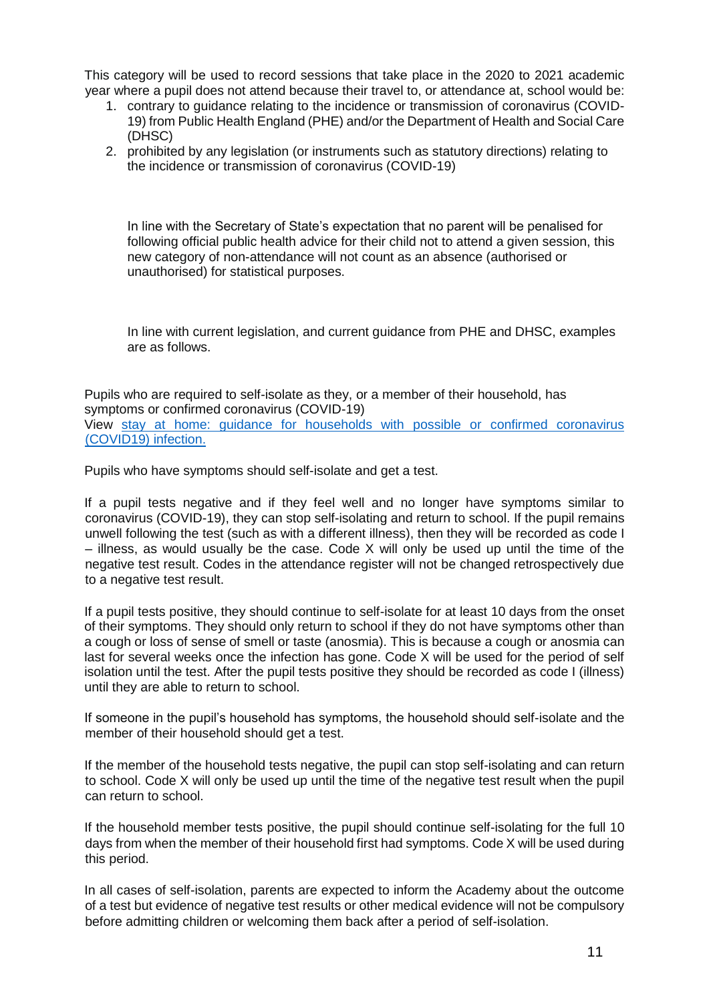This category will be used to record sessions that take place in the 2020 to 2021 academic year where a pupil does not attend because their travel to, or attendance at, school would be:

- 1. contrary to guidance relating to the incidence or transmission of coronavirus (COVID-19) from Public Health England (PHE) and/or the Department of Health and Social Care (DHSC)
- 2. prohibited by any legislation (or instruments such as statutory directions) relating to the incidence or transmission of coronavirus (COVID-19)

In line with the Secretary of State's expectation that no parent will be penalised for following official public health advice for their child not to attend a given session, this new category of non-attendance will not count as an absence (authorised or unauthorised) for statistical purposes.

In line with current legislation, and current guidance from PHE and DHSC, examples are as follows.

Pupils who are required to self-isolate as they, or a member of their household, has symptoms or confirmed coronavirus (COVID-19) View [stay at home: guidance for households with possible or confirmed coronavirus](https://www.gov.uk/government/publications/covid-19-stay-at-home-guidance/stay-at-home-guidance-for-households-with-possible-coronavirus-covid-19-infection)  [\(COVID19\) infection.](https://www.gov.uk/government/publications/covid-19-stay-at-home-guidance/stay-at-home-guidance-for-households-with-possible-coronavirus-covid-19-infection)

Pupils who have symptoms should self-isolate and get a test.

If a pupil tests negative and if they feel well and no longer have symptoms similar to coronavirus (COVID-19), they can stop self-isolating and return to school. If the pupil remains unwell following the test (such as with a different illness), then they will be recorded as code I – illness, as would usually be the case. Code X will only be used up until the time of the negative test result. Codes in the attendance register will not be changed retrospectively due to a negative test result.

If a pupil tests positive, they should continue to self-isolate for at least 10 days from the onset of their symptoms. They should only return to school if they do not have symptoms other than a cough or loss of sense of smell or taste (anosmia). This is because a cough or anosmia can last for several weeks once the infection has gone. Code X will be used for the period of self isolation until the test. After the pupil tests positive they should be recorded as code I (illness) until they are able to return to school.

If someone in the pupil's household has symptoms, the household should self-isolate and the member of their household should get a test.

If the member of the household tests negative, the pupil can stop self-isolating and can return to school. Code X will only be used up until the time of the negative test result when the pupil can return to school.

If the household member tests positive, the pupil should continue self-isolating for the full 10 days from when the member of their household first had symptoms. Code X will be used during this period.

In all cases of self-isolation, parents are expected to inform the Academy about the outcome of a test but evidence of negative test results or other medical evidence will not be compulsory before admitting children or welcoming them back after a period of self-isolation.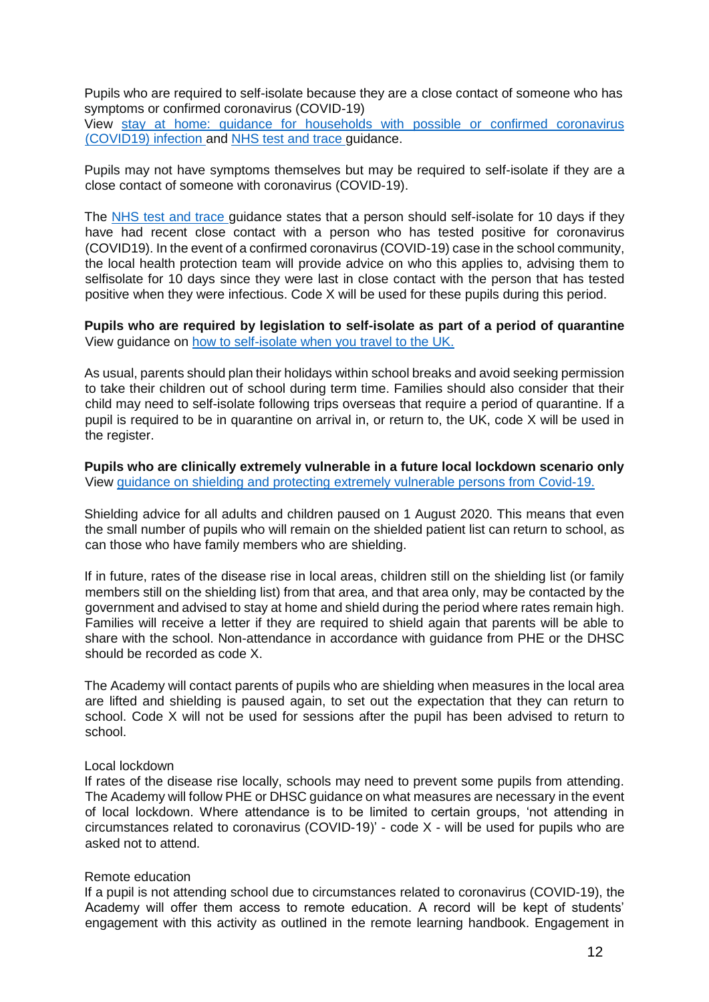Pupils who are required to self-isolate because they are a close contact of someone who has symptoms or confirmed coronavirus (COVID-19)

View [stay at home: guidance for households with possible or confirmed coronavirus](https://www.gov.uk/government/publications/covid-19-stay-at-home-guidance/stay-at-home-guidance-for-households-with-possible-coronavirus-covid-19-infection)  [\(COVID19\) infection](https://www.gov.uk/government/publications/covid-19-stay-at-home-guidance/stay-at-home-guidance-for-households-with-possible-coronavirus-covid-19-infection) [a](https://www.gov.uk/government/publications/covid-19-stay-at-home-guidance/stay-at-home-guidance-for-households-with-possible-coronavirus-covid-19-infection)nd [NHS test and trace](https://www.gov.uk/guidance/nhs-test-and-trace-how-it-works#people-who-have-had-close-contact-with-someone-who-has-coronavirus) [g](https://www.gov.uk/guidance/nhs-test-and-trace-how-it-works#people-who-have-had-close-contact-with-someone-who-has-coronavirus)uidance.

Pupils may not have symptoms themselves but may be required to self-isolate if they are a close contact of someone with coronavirus (COVID-19).

The [NHS test and trace](https://www.gov.uk/guidance/nhs-test-and-trace-how-it-works#people-who-have-had-close-contact-with-someone-who-has-coronavirus) guidance states that a person should self-isolate for 10 days if they have had recent close contact with a person who has tested positive for coronavirus (COVID19). In the event of a confirmed coronavirus (COVID-19) case in the school community, the local health protection team will provide advice on who this applies to, advising them to selfisolate for 10 days since they were last in close contact with the person that has tested positive when they were infectious. Code X will be used for these pupils during this period.

**Pupils who are required by legislation to self-isolate as part of a period of quarantine** View guidance on [how to self-isolate when you travel to the](https://www.gov.uk/government/publications/coronavirus-covid-19-how-to-self-isolate-when-you-travel-to-the-uk/coronavirus-covid-19-how-to-self-isolate-when-you-travel-to-the-uk) U[K.](https://www.gov.uk/government/publications/coronavirus-covid-19-how-to-self-isolate-when-you-travel-to-the-uk/coronavirus-covid-19-how-to-self-isolate-when-you-travel-to-the-uk)

As usual, parents should plan their holidays within school breaks and avoid seeking permission to take their children out of school during term time. Families should also consider that their child may need to self-isolate following trips overseas that require a period of quarantine. If a pupil is required to be in quarantine on arrival in, or return to, the UK, code X will be used in the register.

**Pupils who are clinically extremely vulnerable in a future local lockdown scenario only**  View guidance on shielding and protecting [extremely vulnerable persons from Covid-19.](https://www.gov.uk/government/publications/guidance-on-shielding-and-protecting-extremely-vulnerable-persons-from-covid-19/guidance-on-shielding-and-protecting-extremely-vulnerable-persons-from-covid-19)

Shielding advice for all adults and children paused on 1 August 2020. This means that even the small number of pupils who will remain on the shielded patient list can return to school, as can those who have family members who are shielding.

If in future, rates of the disease rise in local areas, children still on the shielding list (or family members still on the shielding list) from that area, and that area only, may be contacted by the government and advised to stay at home and shield during the period where rates remain high. Families will receive a letter if they are required to shield again that parents will be able to share with the school. Non-attendance in accordance with guidance from PHE or the DHSC should be recorded as code X.

The Academy will contact parents of pupils who are shielding when measures in the local area are lifted and shielding is paused again, to set out the expectation that they can return to school. Code X will not be used for sessions after the pupil has been advised to return to school.

#### Local lockdown

If rates of the disease rise locally, schools may need to prevent some pupils from attending. The Academy will follow PHE or DHSC guidance on what measures are necessary in the event of local lockdown. Where attendance is to be limited to certain groups, 'not attending in circumstances related to coronavirus (COVID-19)' - code X - will be used for pupils who are asked not to attend.

#### Remote education

If a pupil is not attending school due to circumstances related to coronavirus (COVID-19), the Academy will offer them access to remote education. A record will be kept of students' engagement with this activity as outlined in the remote learning handbook. Engagement in